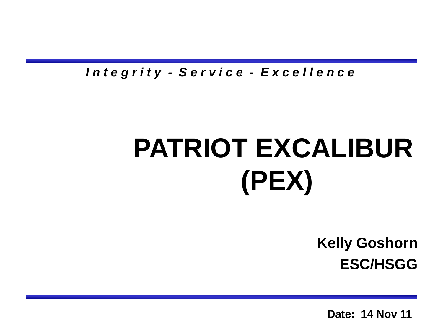*I n t e g r i t y - S e r v i c e - E x c e l l e n c e*

## **PATRIOT EXCALIBUR (PEX)**

**Kelly Goshorn ESC/HSGG**

**Date: 14 Nov 11**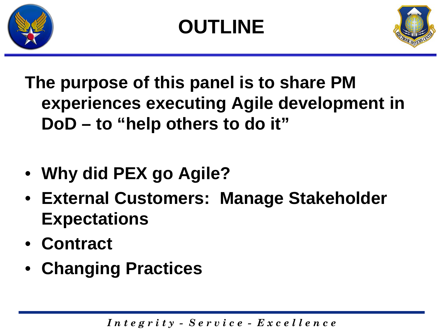

## **OUTLINE**



**The purpose of this panel is to share PM experiences executing Agile development in DoD – to "help others to do it"**

- **Why did PEX go Agile?**
- **External Customers: Manage Stakeholder Expectations**
- **Contract**
- **Changing Practices**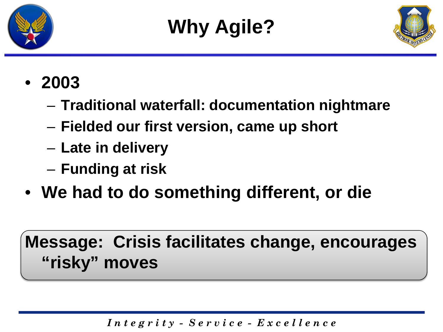



## • **2003**

- **Traditional waterfall: documentation nightmare**
- **Fielded our first version, came up short**
- **Late in delivery**
- **Funding at risk**
- **We had to do something different, or die**

## **Message: Crisis facilitates change, encourages "risky" moves**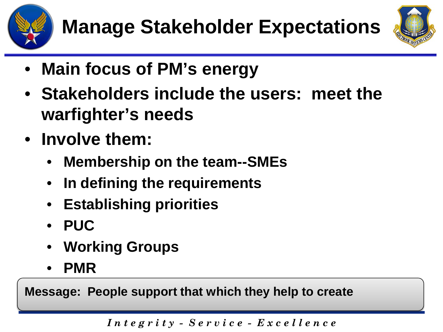



- **Main focus of PM's energy**
- **Stakeholders include the users: meet the warfighter's needs**
- **Involve them:**
	- **Membership on the team--SMEs**
	- **In defining the requirements**
	- **Establishing priorities**
	- **PUC**
	- **Working Groups**
	- **PMR**

**Message: People support that which they help to create**

*I n t e g r i t y - S e r v i c e - E x c e l l e n c e*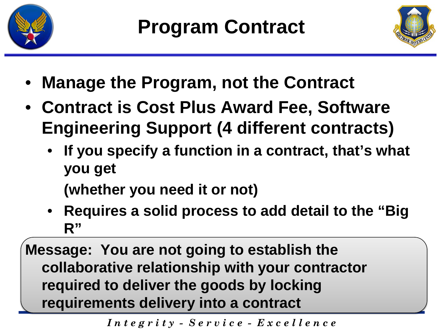



- **Manage the Program, not the Contract**
- **Contract is Cost Plus Award Fee, Software Engineering Support (4 different contracts)**
	- **If you specify a function in a contract, that's what you get**

**(whether you need it or not)**

• **Requires a solid process to add detail to the "Big R"**

**Message: You are not going to establish the collaborative relationship with your contractor required to deliver the goods by locking requirements delivery into a contract**

*I n t e g r i t y - S e r v i c e - E x c e l l e n c e*